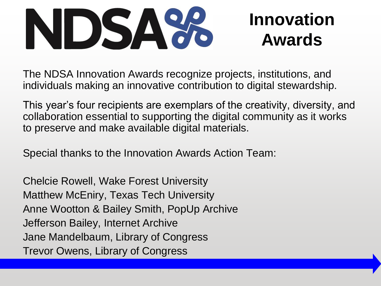

The NDSA Innovation Awards recognize projects, institutions, and individuals making an innovative contribution to digital stewardship.

This year's four recipients are exemplars of the creativity, diversity, and collaboration essential to supporting the digital community as it works to preserve and make available digital materials.

Special thanks to the Innovation Awards Action Team:

Chelcie Rowell, Wake Forest University Matthew McEniry, Texas Tech University Anne Wootton & Bailey Smith, PopUp Archive Jefferson Bailey, Internet Archive Jane Mandelbaum, Library of Congress Trevor Owens, Library of Congress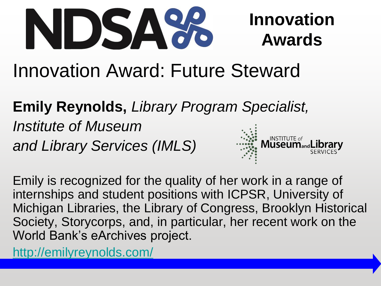

# Innovation Award: Future Steward

**Emily Reynolds,** *Library Program Specialist,* 

*Institute of Museum and Library Services (IMLS)*



Emily is recognized for the quality of her work in a range of internships and student positions with ICPSR, University of Michigan Libraries, the Library of Congress, Brooklyn Historical Society, Storycorps, and, in particular, her recent work on the World Bank's eArchives project.

<http://emilyreynolds.com/>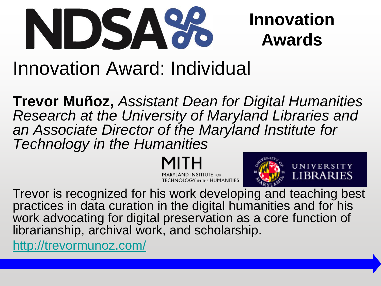

## Innovation Award: Individual

**Trevor Muñoz,** *Assistant Dean for Digital Humanities Research at the University of Maryland Libraries and an Associate Director of the Maryland Institute for Technology in the Humanities*

> YLAND INSTITUTE for **TECHNOLOGY IN THE HUMANITIES**



Trevor is recognized for his work developing and teaching best practices in data curation in the digital humanities and for his work advocating for digital preservation as a core function of librarianship, archival work, and scholarship.

<http://trevormunoz.com/>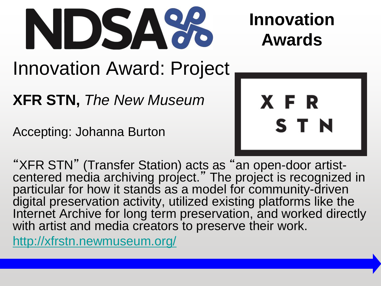

# Innovation Award: Project

**XFR STN,** *The New Museum*

Accepting: Johanna Burton



"XFR STN" (Transfer Station) acts as " an open-door artistcentered media archiving project." The project is recognized in particular for how it stands as a model for community-driven digital preservation activity, utilized existing platforms like the Internet Archive for long term preservation, and worked directly with artist and media creators to preserve their work.

<http://xfrstn.newmuseum.org/>